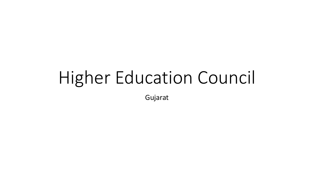# Higher Education Council

Gujarat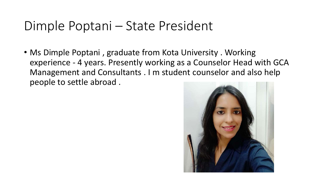#### Dimple Poptani – State President

• Ms Dimple Poptani, graduate from Kota University. Working experience - 4 years. Presently working as a Counselor Head with GCA Management and Consultants . I m student counselor and also help people to settle abroad .

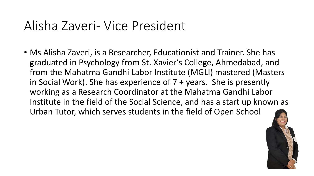#### Alisha Zaveri- Vice President

• Ms Alisha Zaveri, is a Researcher, Educationist and Trainer. She has graduated in Psychology from St. Xavier's College, Ahmedabad, and from the Mahatma Gandhi Labor Institute (MGLI) mastered (Masters in Social Work). She has experience of 7 + years. She is presently working as a Research Coordinator at the Mahatma Gandhi Labor Institute in the field of the Social Science, and has a start up known as Urban Tutor, which serves students in the field of Open School

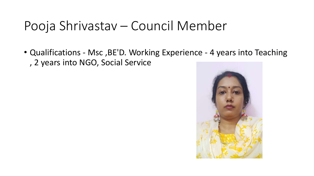## Pooja Shrivastav – Council Member

• Qualifications - Msc ,BE'D. Working Experience - 4 years into Teaching , 2 years into NGO, Social Service

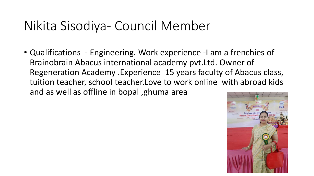## Nikita Sisodiya- Council Member

• Qualifications - Engineering. Work experience -I am a frenchies of Brainobrain Abacus international academy pvt.Ltd. Owner of Regeneration Academy .Experience 15 years faculty of Abacus class, tuition teacher, school teacher.Love to work online with abroad kids and as well as offline in bopal ,ghuma area

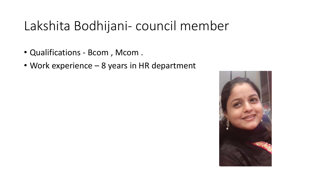# Lakshita Bodhijani- council member

- Qualifications Bcom , Mcom .
- Work experience 8 years in HR department

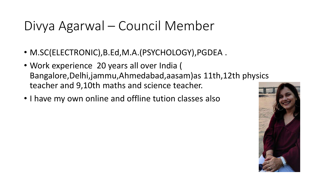# Divya Agarwal – Council Member

- M.SC(ELECTRONIC),B.Ed,M.A.(PSYCHOLOGY),PGDEA .
- Work experience 20 years all over India ( Bangalore,Delhi,jammu,Ahmedabad,aasam)as 11th,12th physics teacher and 9,10th maths and science teacher.
- I have my own online and offline tution classes also

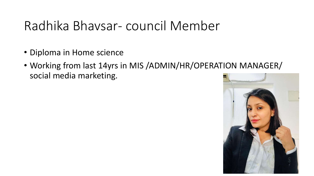## Radhika Bhavsar- council Member

- Diploma in Home science
- Working from last 14yrs in MIS /ADMIN/HR/OPERATION MANAGER/ social media marketing.

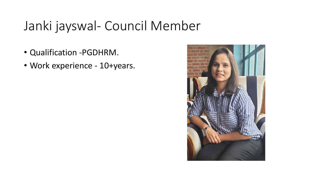# Janki jayswal- Council Member

- Qualification -PGDHRM.
- Work experience 10+years.

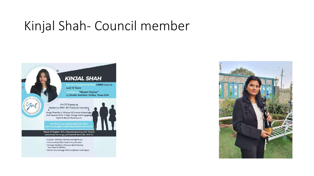#### Kinjal Shah- Council member



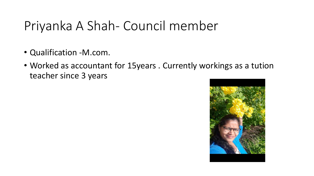# Priyanka A Shah- Council member

- Qualification -M.com.
- Worked as accountant for 15years . Currently workings as a tution teacher since 3 years

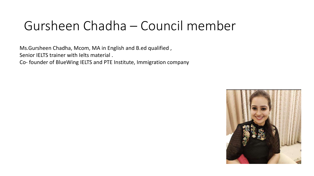# Gursheen Chadha – Council member

Ms.Gursheen Chadha, Mcom, MA in English and B.ed qualified ,

Senior IELTS trainer with Ielts material .

Co- founder of BlueWing IELTS and PTE Institute, Immigration company

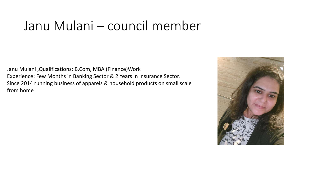#### Janu Mulani – council member

Janu Mulani ,Qualifications: B.Com, MBA (Finance)Work Experience: Few Months in Banking Sector & 2 Years in Insurance Sector. Since 2014 running business of apparels & household products on small scale from home

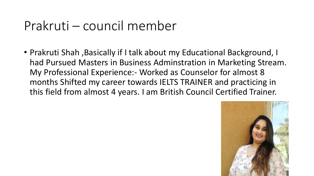#### Prakruti – council member

• Prakruti Shah ,Basically if I talk about my Educational Background, I had Pursued Masters in Business Adminstration in Marketing Stream. My Professional Experience:- Worked as Counselor for almost 8 months Shifted my career towards IELTS TRAINER and practicing in this field from almost 4 years. I am British Council Certified Trainer.